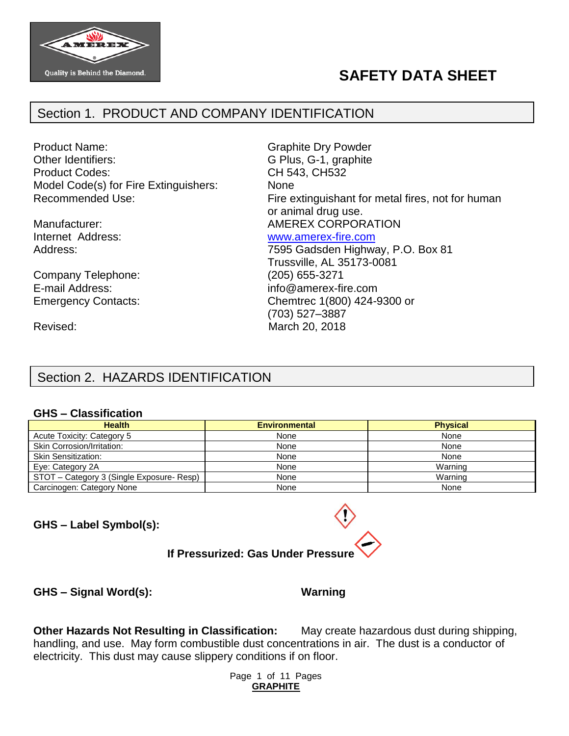

# **SAFETY DATA SHEET**

## Section 1. PRODUCT AND COMPANY IDENTIFICATION

Product Name: The Contract of Craphite Dry Powder Other Identifiers: G Plus, G-1, graphite Product Codes: CH 543, CH532 Model Code(s) for Fire Extinguishers: None

Company Telephone: (205) 655-3271 E-mail Address: info@amerex-fire.com

Recommended Use: Fire extinguishant for metal fires, not for human or animal drug use. Manufacturer:  $\blacksquare$  AMEREX CORPORATION Internet Address: [www.amerex-fire.com](http://www.amerex-fire.com/)

Address: Mathematic Mathematic Metal Control of T595 Gadsden Highway, P.O. Box 81 Trussville, AL 35173-0081 Emergency Contacts: Chemtrec 1(800) 424-9300 or (703) 527–3887 Revised: March 20, 2018

# Section 2. HAZARDS IDENTIFICATION

#### **GHS – Classification**

| <b>Health</b>                             | <b>Environmental</b> | <b>Physical</b> |
|-------------------------------------------|----------------------|-----------------|
| Acute Toxicity: Category 5                | None                 | None            |
| Skin Corrosion/Irritation:                | None                 | None            |
| <b>Skin Sensitization:</b>                | None                 | None            |
| Eye: Category 2A                          | None                 | Warning         |
| STOT - Category 3 (Single Exposure- Resp) | None                 | Warning         |
| Carcinogen: Category None                 | None                 | None            |

**GHS – Label Symbol(s):**

# **If Pressurized: Gas Under Pressure**

**GHS – Signal Word(s): Warning**

**Other Hazards Not Resulting in Classification:** May create hazardous dust during shipping, handling, and use. May form combustible dust concentrations in air. The dust is a conductor of electricity. This dust may cause slippery conditions if on floor.

> Page 1 of 11 Pages **GRAPHITE**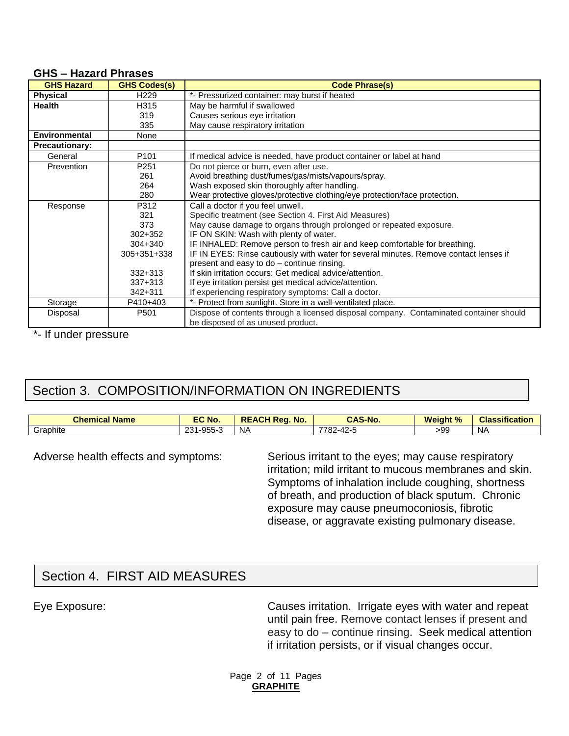#### **GHS – Hazard Phrases**

| <b>GHS Hazard</b>     | <b>GHS Codes(s)</b> | <b>Code Phrase(s)</b>                                                                  |  |  |
|-----------------------|---------------------|----------------------------------------------------------------------------------------|--|--|
| <b>Physical</b>       | H <sub>229</sub>    | *- Pressurized container: may burst if heated                                          |  |  |
| <b>Health</b>         | H315                | May be harmful if swallowed                                                            |  |  |
|                       | 319                 | Causes serious eye irritation                                                          |  |  |
|                       | 335                 | May cause respiratory irritation                                                       |  |  |
| <b>Environmental</b>  | None                |                                                                                        |  |  |
| <b>Precautionary:</b> |                     |                                                                                        |  |  |
| General               | P <sub>101</sub>    | If medical advice is needed, have product container or label at hand                   |  |  |
| Prevention            | P <sub>251</sub>    | Do not pierce or burn, even after use.                                                 |  |  |
|                       | 261                 | Avoid breathing dust/fumes/gas/mists/vapours/spray.                                    |  |  |
|                       | 264                 | Wash exposed skin thoroughly after handling.                                           |  |  |
|                       | 280                 | Wear protective gloves/protective clothing/eye protection/face protection.             |  |  |
| Response              | P312                | Call a doctor if you feel unwell.                                                      |  |  |
|                       | 321                 | Specific treatment (see Section 4. First Aid Measures)                                 |  |  |
|                       | 373                 | May cause damage to organs through prolonged or repeated exposure.                     |  |  |
|                       | $302 + 352$         | IF ON SKIN: Wash with plenty of water.                                                 |  |  |
|                       | $304 + 340$         | IF INHALED: Remove person to fresh air and keep comfortable for breathing.             |  |  |
|                       | 305+351+338         | IF IN EYES: Rinse cautiously with water for several minutes. Remove contact lenses if  |  |  |
|                       |                     | present and easy to do - continue rinsing.                                             |  |  |
|                       | $332 + 313$         | If skin irritation occurs: Get medical advice/attention.                               |  |  |
|                       | $337+313$           | If eye irritation persist get medical advice/attention.                                |  |  |
|                       | 342+311             | If experiencing respiratory symptoms: Call a doctor.                                   |  |  |
| Storage               | P410+403            | *- Protect from sunlight. Store in a well-ventilated place.                            |  |  |
| Disposal              | P <sub>501</sub>    | Dispose of contents through a licensed disposal company. Contaminated container should |  |  |
|                       |                     | be disposed of as unused product.                                                      |  |  |

\*- If under pressure

# Section 3. COMPOSITION/INFORMATION ON INGREDIENTS

| <b>Chemical</b><br>. .<br><b>Name</b> | <b>EC No.</b>                      | <b>\CH Rea.</b><br>No.<br>вī<br>A | <b>CAS-No.</b>       | <b>Weight %</b> | <b>Classification</b> |
|---------------------------------------|------------------------------------|-----------------------------------|----------------------|-----------------|-----------------------|
| Graphite                              | $-955 - 7$<br>ົດດາ<br>้องง<br>∵ پ∡ | NA                                | 7701<br>$102 - 47 -$ | >99             | <b>NA</b>             |

Adverse health effects and symptoms: Serious irritant to the eyes; may cause respiratory irritation; mild irritant to mucous membranes and skin. Symptoms of inhalation include coughing, shortness of breath, and production of black sputum. Chronic exposure may cause pneumoconiosis, fibrotic disease, or aggravate existing pulmonary disease.

## Section 4. FIRST AID MEASURES

Eye Exposure: Causes irritation. Irrigate eyes with water and repeat until pain free. Remove contact lenses if present and easy to do – continue rinsing. Seek medical attention if irritation persists, or if visual changes occur.

> Page 2 of 11 Pages **GRAPHITE**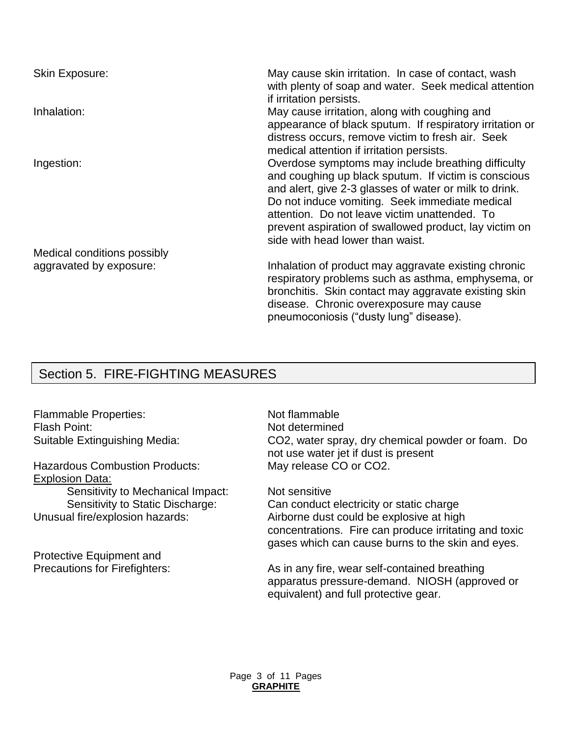| <b>Skin Exposure:</b>       | May cause skin irritation. In case of contact, wash<br>with plenty of soap and water. Seek medical attention<br>if irritation persists.                                                                                                                                                                                                                               |
|-----------------------------|-----------------------------------------------------------------------------------------------------------------------------------------------------------------------------------------------------------------------------------------------------------------------------------------------------------------------------------------------------------------------|
| Inhalation:                 | May cause irritation, along with coughing and<br>appearance of black sputum. If respiratory irritation or<br>distress occurs, remove victim to fresh air. Seek<br>medical attention if irritation persists.                                                                                                                                                           |
| Ingestion:                  | Overdose symptoms may include breathing difficulty<br>and coughing up black sputum. If victim is conscious<br>and alert, give 2-3 glasses of water or milk to drink.<br>Do not induce vomiting. Seek immediate medical<br>attention. Do not leave victim unattended. To<br>prevent aspiration of swallowed product, lay victim on<br>side with head lower than waist. |
| Medical conditions possibly |                                                                                                                                                                                                                                                                                                                                                                       |
| aggravated by exposure:     | Inhalation of product may aggravate existing chronic<br>respiratory problems such as asthma, emphysema, or<br>bronchitis. Skin contact may aggravate existing skin<br>disease. Chronic overexposure may cause<br>pneumoconiosis ("dusty lung" disease).                                                                                                               |

## Section 5. FIRE-FIGHTING MEASURES

Flammable Properties: Not flammable Flash Point: Not determined

Hazardous Combustion Products: May release CO or CO2. Explosion Data:

Sensitivity to Mechanical Impact: Not sensitive

Protective Equipment and

Suitable Extinguishing Media: CO2, water spray, dry chemical powder or foam. Do not use water jet if dust is present

Sensitivity to Static Discharge: Can conduct electricity or static charge Unusual fire/explosion hazards: Airborne dust could be explosive at high concentrations. Fire can produce irritating and toxic gases which can cause burns to the skin and eyes.

Precautions for Firefighters: As in any fire, wear self-contained breathing apparatus pressure-demand. NIOSH (approved or equivalent) and full protective gear.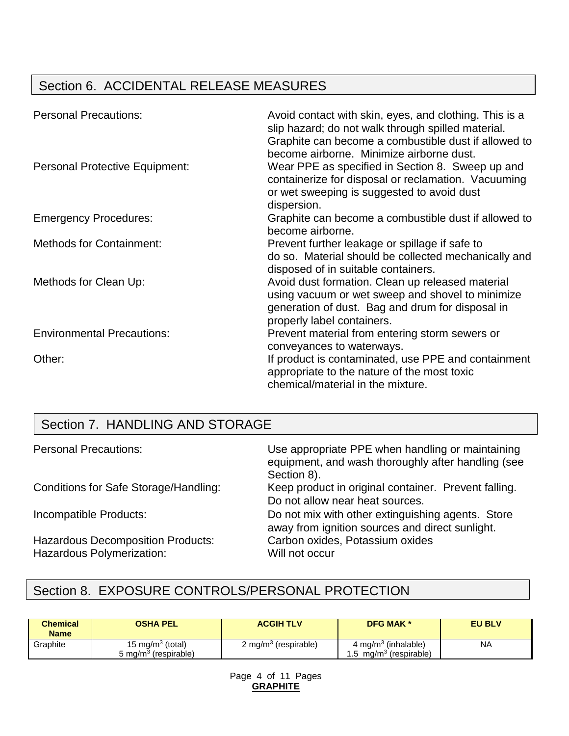# Section 6. ACCIDENTAL RELEASE MEASURES

| <b>Personal Precautions:</b>          | Avoid contact with skin, eyes, and clothing. This is a<br>slip hazard; do not walk through spilled material.<br>Graphite can become a combustible dust if allowed to<br>become airborne. Minimize airborne dust. |
|---------------------------------------|------------------------------------------------------------------------------------------------------------------------------------------------------------------------------------------------------------------|
| <b>Personal Protective Equipment:</b> | Wear PPE as specified in Section 8. Sweep up and<br>containerize for disposal or reclamation. Vacuuming<br>or wet sweeping is suggested to avoid dust<br>dispersion.                                             |
| <b>Emergency Procedures:</b>          | Graphite can become a combustible dust if allowed to<br>become airborne.                                                                                                                                         |
| <b>Methods for Containment:</b>       | Prevent further leakage or spillage if safe to<br>do so. Material should be collected mechanically and<br>disposed of in suitable containers.                                                                    |
| Methods for Clean Up:                 | Avoid dust formation. Clean up released material<br>using vacuum or wet sweep and shovel to minimize<br>generation of dust. Bag and drum for disposal in<br>properly label containers.                           |
| <b>Environmental Precautions:</b>     | Prevent material from entering storm sewers or<br>conveyances to waterways.                                                                                                                                      |
| Other:                                | If product is contaminated, use PPE and containment<br>appropriate to the nature of the most toxic<br>chemical/material in the mixture.                                                                          |

# Section 7. HANDLING AND STORAGE

| <b>Personal Precautions:</b>                                          | Use appropriate PPE when handling or maintaining<br>equipment, and wash thoroughly after handling (see<br>Section 8). |
|-----------------------------------------------------------------------|-----------------------------------------------------------------------------------------------------------------------|
| Conditions for Safe Storage/Handling:                                 | Keep product in original container. Prevent falling.<br>Do not allow near heat sources.                               |
| Incompatible Products:                                                | Do not mix with other extinguishing agents. Store<br>away from ignition sources and direct sunlight.                  |
| <b>Hazardous Decomposition Products:</b><br>Hazardous Polymerization: | Carbon oxides, Potassium oxides<br>Will not occur                                                                     |

# Section 8. EXPOSURE CONTROLS/PERSONAL PROTECTION

| <b>Chemical</b><br><b>Name</b> | <b>OSHA PEL</b>                                         | <b>ACGIH TLV</b>                 | <b>DFG MAK *</b>                                               | <b>EU BLV</b> |
|--------------------------------|---------------------------------------------------------|----------------------------------|----------------------------------------------------------------|---------------|
| Graphite                       | 15 mg/m $3$ (total)<br>5 mg/m <sup>3</sup> (respirable) | 2 mg/m <sup>3</sup> (respirable) | 4 mg/m <sup>3</sup> (inhalable)<br>$mg/m3$ (respirable)<br>1.5 | <b>NA</b>     |

Page 4 of 11 Pages **GRAPHITE**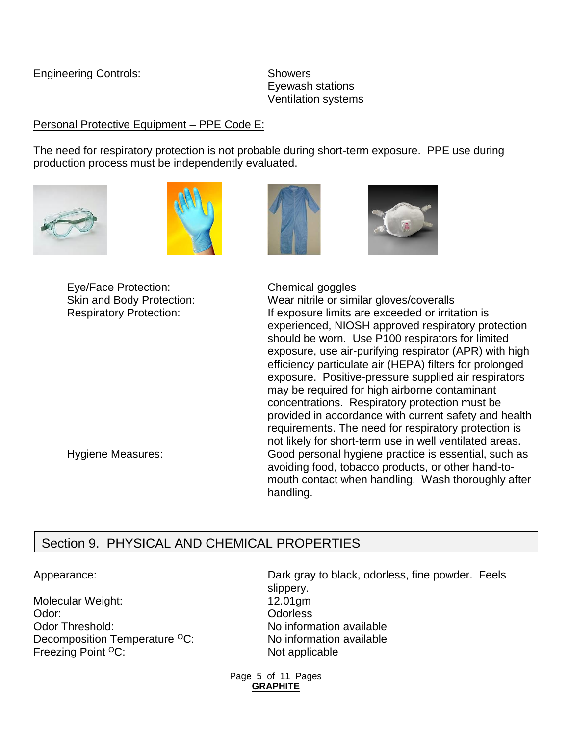### Engineering Controls: Showers

Eyewash stations Ventilation systems

## Personal Protective Equipment - PPE Code E:

The need for respiratory protection is not probable during short-term exposure. PPE use during production process must be independently evaluated.









Eye/Face Protection: Chemical goggles

Skin and Body Protection: Wear nitrile or similar gloves/coveralls Respiratory Protection: If exposure limits are exceeded or irritation is experienced, NIOSH approved respiratory protection should be worn. Use P100 respirators for limited exposure, use air-purifying respirator (APR) with high efficiency particulate air (HEPA) filters for prolonged exposure. Positive-pressure supplied air respirators may be required for high airborne contaminant concentrations. Respiratory protection must be provided in accordance with current safety and health requirements. The need for respiratory protection is not likely for short-term use in well ventilated areas. Hygiene Measures: Good personal hygiene practice is essential, such as avoiding food, tobacco products, or other hand-tomouth contact when handling. Wash thoroughly after handling.

# Section 9. PHYSICAL AND CHEMICAL PROPERTIES

Molecular Weight: 12.01gm Odor: Contract Contract Odorless Odor Threshold: No information available Decomposition Temperature <sup>O</sup>C: No information available Freezing Point <sup>O</sup>C: Not applicable

Appearance: Dark gray to black, odorless, fine powder. Feels slippery.

> Page 5 of 11 Pages **GRAPHITE**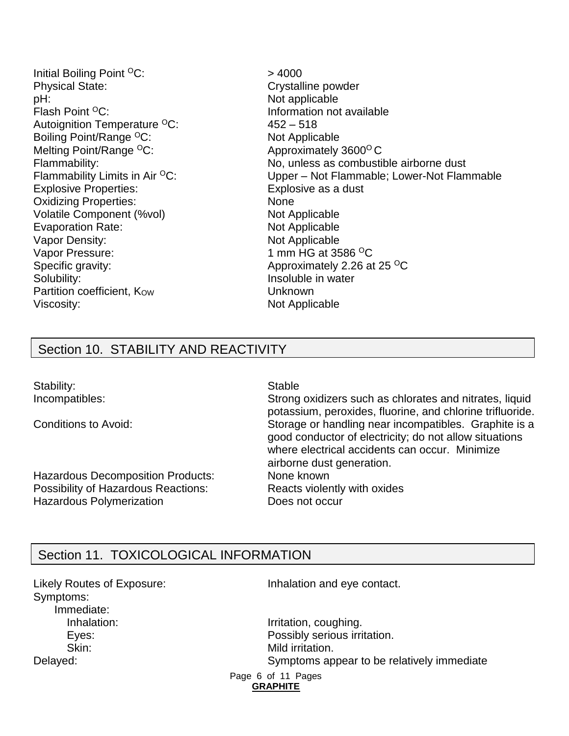Initial Boiling Point  ${}^{0}C$ :  $> 4000$ Physical State: Crystalline powder pH:  $P$  Not applicable Flash Point <sup>O</sup>C: **Information not available** Autoignition Temperature  ${}^{0}C$ : 452 – 518 Boiling Point/Range <sup>O</sup>C: Not Applicable Melting Point/Range <sup>o</sup>C: Approximately 3600<sup>o</sup> C Explosive Properties: Explosive as a dust Oxidizing Properties: None Volatile Component (%vol) Not Applicable Evaporation Rate: Not Applicable Vapor Density: Not Applicable Vapor Pressure: 1 mm HG at 3586 <sup>O</sup>C Specific gravity: Specific gravity: Approximately 2.26 at 25 <sup>o</sup>C Solubility: Insoluble in water Partition coefficient, Kow **Unknown** Viscosity: Not Applicable

Flammability: No, unless as combustible airborne dust Flammability Limits in Air  ${}^{0}C$ : Upper – Not Flammable; Lower-Not Flammable

## Section 10. STABILITY AND REACTIVITY

Stability: Stable Stable

Hazardous Decomposition Products: None known Possibility of Hazardous Reactions: Reacts violently with oxides Hazardous Polymerization **Does not occur** 

Incompatibles: Strong oxidizers such as chlorates and nitrates, liquid potassium, peroxides, fluorine, and chlorine trifluoride. Conditions to Avoid: Storage or handling near incompatibles. Graphite is a good conductor of electricity; do not allow situations where electrical accidents can occur. Minimize airborne dust generation.

## Section 11. TOXICOLOGICAL INFORMATION

Symptoms: Immediate:

Likely Routes of Exposure: Inhalation and eye contact.

Inhalation: Inhalation: Irritation, coughing. Eyes: Possibly serious irritation. Skin: Skin: Mild irritation. Delayed: Symptoms appear to be relatively immediate

Page 6 of 11 Pages **GRAPHITE**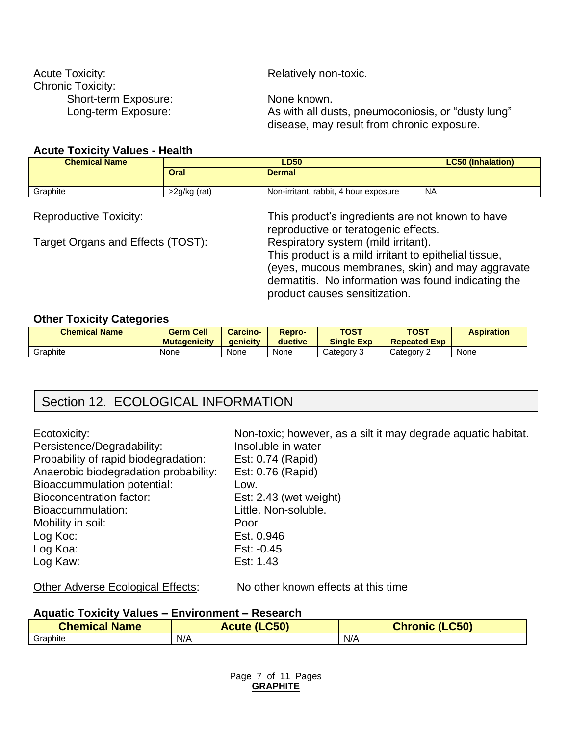| <b>Acute Toxicity:</b>   | Relatively non-toxic.                              |
|--------------------------|----------------------------------------------------|
| <b>Chronic Toxicity:</b> |                                                    |
| Short-term Exposure:     | None known.                                        |
| Long-term Exposure:      | As with all dusts, pneumoconiosis, or "dusty lung" |
|                          | disease, may result from chronic exposure.         |

#### **Acute Toxicity Values - Health**

| <b>Chemical Name</b> |              | <b>LC50 (Inhalation)</b>              |           |
|----------------------|--------------|---------------------------------------|-----------|
|                      | <b>Oral</b>  | <b>Dermal</b>                         |           |
| Graphite             | >2g/kg (rat) | Non-irritant, rabbit, 4 hour exposure | <b>NA</b> |

Target Organs and Effects (TOST):

Reproductive Toxicity: This product's ingredients are not known to have reproductive or teratogenic effects.<br>Respiratory system (mild irritant). This product is a mild irritant to epithelial tissue, (eyes, mucous membranes, skin) and may aggravate dermatitis. No information was found indicating the product causes sensitization.

#### **Other Toxicity Categories**

| <b>Chemical Name</b> | <b>Germ Cell</b><br><b>Mutagenicity</b> | <b>Carcino-</b><br><b>aenicity</b> | <b>Repro-</b><br>ductive | <b>TOST</b><br><b>Single Exp</b> | <b>TOST</b><br><b>Repeated Exp</b> | <b>Aspiration</b> |
|----------------------|-----------------------------------------|------------------------------------|--------------------------|----------------------------------|------------------------------------|-------------------|
| Graphite             | None                                    | None                               | None                     | Categorv 3                       | Category 2                         | None              |

## Section 12. ECOLOGICAL INFORMATION

| Ecotoxicity:<br>Persistence/Degradability:<br>Probability of rapid biodegradation: | Non-toxic; however, as a silt it may degrade aquatic habitat.<br>Insoluble in water<br>Est: 0.74 (Rapid) |
|------------------------------------------------------------------------------------|----------------------------------------------------------------------------------------------------------|
| Anaerobic biodegradation probability:<br><b>Bioaccummulation potential:</b>        | Est: 0.76 (Rapid)<br>Low.                                                                                |
| <b>Bioconcentration factor:</b>                                                    | Est: $2.43$ (wet weight)                                                                                 |
| Bioaccummulation:                                                                  | Little. Non-soluble.                                                                                     |
| Mobility in soil:                                                                  | Poor                                                                                                     |
| Log Koc:                                                                           | Est. 0.946                                                                                               |
| Log Koa:                                                                           | Est: $-0.45$                                                                                             |
| Log Kaw:                                                                           | Est: 1.43                                                                                                |
|                                                                                    |                                                                                                          |

#### Other Adverse Ecological Effects: No other known effects at this time

#### **Aquatic Toxicity Values – Environment – Research**

| <b>Chemical Name</b> | (LC50)<br><b>Acute</b> | (LC50)<br><b>Chronic</b> |
|----------------------|------------------------|--------------------------|
| Graphite             | N/A                    | N/A                      |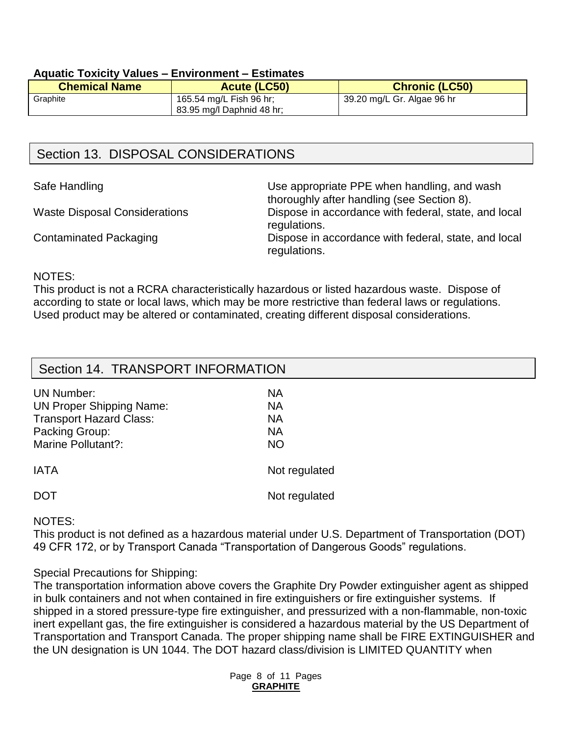#### **Aquatic Toxicity Values – Environment – Estimates**

| <b>Chemical Name</b> | Acute (LC50)              | <b>Chronic (LC50)</b>      |
|----------------------|---------------------------|----------------------------|
| Graphite             | 165.54 mg/L Fish 96 hr;   | 39.20 mg/L Gr. Algae 96 hr |
|                      | 83.95 mg/l Daphnid 48 hr; |                            |

## Section 13. DISPOSAL CONSIDERATIONS

Safe Handling **EXECUTE:** Use appropriate PPE when handling, and wash thoroughly after handling (see Section 8). Waste Disposal Considerations Dispose in accordance with federal, state, and local regulations. Contaminated Packaging **Dispose in accordance with federal, state, and local** regulations.

#### NOTES:

This product is not a RCRA characteristically hazardous or listed hazardous waste. Dispose of according to state or local laws, which may be more restrictive than federal laws or regulations. Used product may be altered or contaminated, creating different disposal considerations.

| Section 14. TRANSPORT INFORMATION |               |
|-----------------------------------|---------------|
| <b>UN Number:</b>                 | <b>NA</b>     |
| <b>UN Proper Shipping Name:</b>   | <b>NA</b>     |
| <b>Transport Hazard Class:</b>    | <b>NA</b>     |
| Packing Group:                    | <b>NA</b>     |
| Marine Pollutant?:                | <b>NO</b>     |
| <b>IATA</b>                       | Not regulated |
| <b>DOT</b>                        | Not regulated |

#### NOTES:

This product is not defined as a hazardous material under U.S. Department of Transportation (DOT) 49 CFR 172, or by Transport Canada "Transportation of Dangerous Goods" regulations.

#### Special Precautions for Shipping:

The transportation information above covers the Graphite Dry Powder extinguisher agent as shipped in bulk containers and not when contained in fire extinguishers or fire extinguisher systems. If shipped in a stored pressure-type fire extinguisher, and pressurized with a non-flammable, non-toxic inert expellant gas, the fire extinguisher is considered a hazardous material by the US Department of Transportation and Transport Canada. The proper shipping name shall be FIRE EXTINGUISHER and the UN designation is UN 1044. The DOT hazard class/division is LIMITED QUANTITY when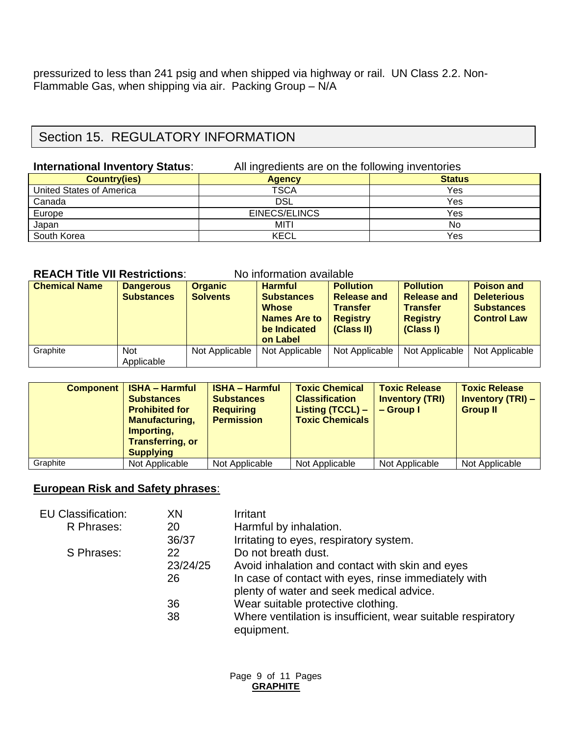pressurized to less than 241 psig and when shipped via highway or rail. UN Class 2.2. Non-Flammable Gas, when shipping via air. Packing Group – N/A

## Section 15. REGULATORY INFORMATION

#### **International Inventory Status:** All ingredients are on the following inventories

| <b>Country(ies)</b>             | -<br><b>Agency</b> | $\tilde{\phantom{a}}$<br><b>Status</b> |
|---------------------------------|--------------------|----------------------------------------|
| <b>United States of America</b> | TSCA               | Yes                                    |
| Canada                          | <b>DSL</b>         | Yes                                    |
| Europe                          | EINECS/ELINCS      | Yes                                    |
| Japan                           | MITI               | No                                     |
| South Korea                     | <b>KECL</b>        | Yes                                    |

#### **REACH Title VII Restrictions:** No information available

| <b>Chemical Name</b> | <b>Dangerous</b><br><b>Substances</b> | <b>Organic</b><br><b>Solvents</b> | <b>Harmful</b><br><b>Substances</b><br><b>Whose</b><br><b>Names Are to</b><br>be Indicated<br>on Label | <b>Pollution</b><br><b>Release and</b><br><b>Transfer</b><br><b>Registry</b><br>(Class II) | <b>Pollution</b><br><b>Release and</b><br><b>Transfer</b><br><b>Registry</b><br>(Class I) | <b>Poison and</b><br><b>Deleterious</b><br><b>Substances</b><br><b>Control Law</b> |
|----------------------|---------------------------------------|-----------------------------------|--------------------------------------------------------------------------------------------------------|--------------------------------------------------------------------------------------------|-------------------------------------------------------------------------------------------|------------------------------------------------------------------------------------|
| Graphite             | <b>Not</b><br>Applicable              | Not Applicable                    | Not Applicable                                                                                         | Not Applicable                                                                             | Not Applicable                                                                            | Not Applicable                                                                     |

| Component | <b>ISHA - Harmful</b><br><b>Substances</b><br><b>Prohibited for</b><br><b>Manufacturing,</b><br>Importing,<br><b>Transferring, or</b><br><b>Supplying</b> | <b>ISHA - Harmful</b><br><b>Substances</b><br><b>Requiring</b><br><b>Permission</b> | <b>Toxic Chemical</b><br><b>Classification</b><br>Listing (TCCL) -<br><b>Toxic Chemicals</b> | <b>Toxic Release</b><br><b>Inventory (TRI)</b><br>$-$ Group I | <b>Toxic Release</b><br><b>Inventory (TRI) -</b><br><b>Group II</b> |
|-----------|-----------------------------------------------------------------------------------------------------------------------------------------------------------|-------------------------------------------------------------------------------------|----------------------------------------------------------------------------------------------|---------------------------------------------------------------|---------------------------------------------------------------------|
| Graphite  | Not Applicable                                                                                                                                            | Not Applicable                                                                      | Not Applicable                                                                               | Not Applicable                                                | Not Applicable                                                      |

## **European Risk and Safety phrases**:

| <b>EU Classification:</b> | XN       | Irritant                                                                   |
|---------------------------|----------|----------------------------------------------------------------------------|
| R Phrases:                | 20       | Harmful by inhalation.                                                     |
|                           | 36/37    | Irritating to eyes, respiratory system.                                    |
| S Phrases:                | 22       | Do not breath dust.                                                        |
|                           | 23/24/25 | Avoid inhalation and contact with skin and eyes                            |
|                           | 26       | In case of contact with eyes, rinse immediately with                       |
|                           |          | plenty of water and seek medical advice.                                   |
|                           | 36       | Wear suitable protective clothing.                                         |
|                           | 38       | Where ventilation is insufficient, wear suitable respiratory<br>equipment. |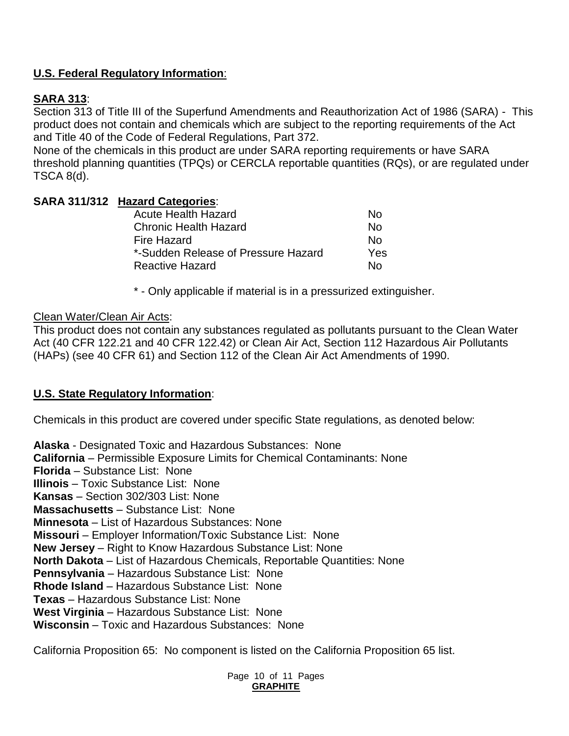## **U.S. Federal Regulatory Information**:

## **SARA 313**:

Section 313 of Title III of the Superfund Amendments and Reauthorization Act of 1986 (SARA) - This product does not contain and chemicals which are subject to the reporting requirements of the Act and Title 40 of the Code of Federal Regulations, Part 372.

None of the chemicals in this product are under SARA reporting requirements or have SARA threshold planning quantities (TPQs) or CERCLA reportable quantities (RQs), or are regulated under TSCA 8(d).

### **SARA 311/312 Hazard Categories**:

| <b>Acute Health Hazard</b>          | N٥  |
|-------------------------------------|-----|
| <b>Chronic Health Hazard</b>        | N٥  |
| Fire Hazard                         | N٥  |
| *-Sudden Release of Pressure Hazard | Yes |
| Reactive Hazard                     | N٥  |

\* - Only applicable if material is in a pressurized extinguisher.

#### Clean Water/Clean Air Acts:

This product does not contain any substances regulated as pollutants pursuant to the Clean Water Act (40 CFR 122.21 and 40 CFR 122.42) or Clean Air Act, Section 112 Hazardous Air Pollutants (HAPs) (see 40 CFR 61) and Section 112 of the Clean Air Act Amendments of 1990.

## **U.S. State Regulatory Information**:

Chemicals in this product are covered under specific State regulations, as denoted below:

**Alaska** - Designated Toxic and Hazardous Substances: None **California** – Permissible Exposure Limits for Chemical Contaminants: None **Florida** – Substance List: None **Illinois** – Toxic Substance List: None **Kansas** – Section 302/303 List: None **Massachusetts** – Substance List: None **Minnesota** – List of Hazardous Substances: None **Missouri** – Employer Information/Toxic Substance List: None **New Jersey** – Right to Know Hazardous Substance List: None **North Dakota** – List of Hazardous Chemicals, Reportable Quantities: None **Pennsylvania** – Hazardous Substance List: None **Rhode Island** – Hazardous Substance List: None **Texas** – Hazardous Substance List: None **West Virginia** – Hazardous Substance List: None **Wisconsin** – Toxic and Hazardous Substances: None

California Proposition 65: No component is listed on the California Proposition 65 list.

Page 10 of 11 Pages **GRAPHITE**